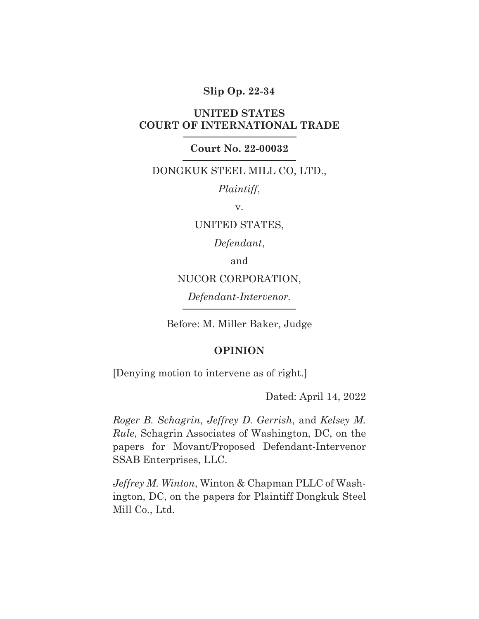### **Slip Op. 22-34**

## **UNITED STATES COURT OF INTERNATIONAL TRADE**

#### **Court No. 22-00032**

## DONGKUK STEEL MILL CO, LTD.,

*Plaintiff*,

v.

UNITED STATES,

*Defendant*,

and

NUCOR CORPORATION,

*Defendant-Intervenor.*

Before: M. Miller Baker, Judge

#### **OPINION**

[Denying motion to intervene as of right.]

Dated: April 14, 2022

*Roger B. Schagrin*, *Jeffrey D. Gerrish*, and *Kelsey M. Rule*, Schagrin Associates of Washington, DC, on the papers for Movant/Proposed Defendant-Intervenor SSAB Enterprises, LLC.

*Jeffrey M. Winton*, Winton & Chapman PLLC of Washington, DC, on the papers for Plaintiff Dongkuk Steel Mill Co., Ltd.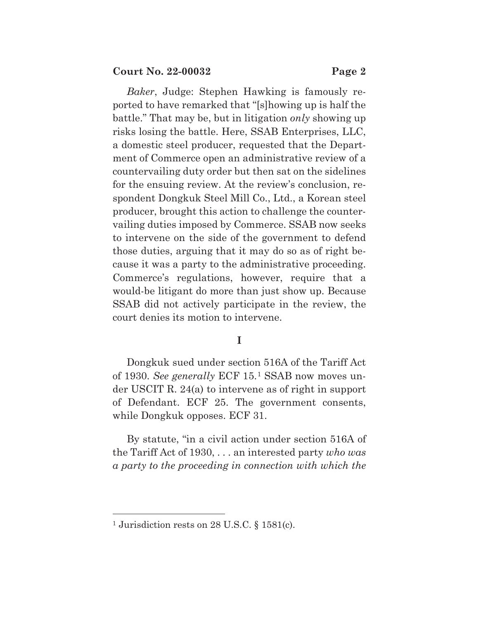*Baker*, Judge: Stephen Hawking is famously reported to have remarked that "[s]howing up is half the battle." That may be, but in litigation *only* showing up risks losing the battle. Here, SSAB Enterprises, LLC, a domestic steel producer, requested that the Department of Commerce open an administrative review of a countervailing duty order but then sat on the sidelines for the ensuing review. At the review's conclusion, respondent Dongkuk Steel Mill Co., Ltd., a Korean steel producer, brought this action to challenge the countervailing duties imposed by Commerce. SSAB now seeks to intervene on the side of the government to defend those duties, arguing that it may do so as of right because it was a party to the administrative proceeding. Commerce's regulations, however, require that a would-be litigant do more than just show up. Because SSAB did not actively participate in the review, the court denies its motion to intervene.

## **I**

Dongkuk sued under section 516A of the Tariff Act of 1930. *See generally* ECF 15.1 SSAB now moves under USCIT R. 24(a) to intervene as of right in support of Defendant. ECF 25. The government consents, while Dongkuk opposes. ECF 31.

By statute, "in a civil action under section 516A of the Tariff Act of 1930, . . . an interested party *who was a party to the proceeding in connection with which the* 

<sup>1</sup> Jurisdiction rests on 28 U.S.C. § 1581(c).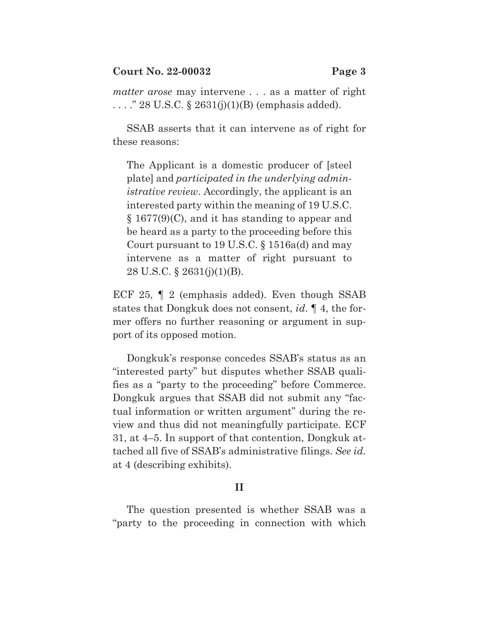*matter arose* may intervene . . . as a matter of right ...." 28 U.S.C.  $\S 2631(j)(1)(B)$  (emphasis added).

SSAB asserts that it can intervene as of right for these reasons:

The Applicant is a domestic producer of [steel plate] and *participated in the underlying administrative review*. Accordingly, the applicant is an interested party within the meaning of 19 U.S.C. § 1677(9)(C), and it has standing to appear and be heard as a party to the proceeding before this Court pursuant to 19 U.S.C. § 1516a(d) and may intervene as a matter of right pursuant to 28 U.S.C. § 2631(j)(1)(B).

ECF 25, ¶ 2 (emphasis added). Even though SSAB states that Dongkuk does not consent, *id*. ¶ 4, the former offers no further reasoning or argument in support of its opposed motion.

Dongkuk's response concedes SSAB's status as an "interested party" but disputes whether SSAB qualifies as a "party to the proceeding" before Commerce. Dongkuk argues that SSAB did not submit any "factual information or written argument" during the review and thus did not meaningfully participate. ECF 31, at 4–5. In support of that contention, Dongkuk attached all five of SSAB's administrative filings. *See id.* at 4 (describing exhibits).

## **II**

The question presented is whether SSAB was a "party to the proceeding in connection with which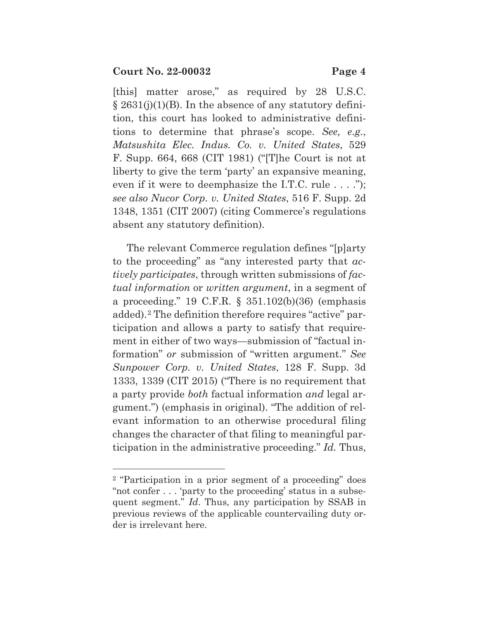[this] matter arose," as required by 28 U.S.C.  $\S 2631(j)(1)(B)$ . In the absence of any statutory definition, this court has looked to administrative definitions to determine that phrase's scope. *See, e.g.*, *Matsushita Elec. Indus. Co. v. United States*, 529 F. Supp. 664, 668 (CIT 1981) ("[T]he Court is not at liberty to give the term 'party' an expansive meaning, even if it were to deemphasize the I.T.C. rule  $\dots$ ."); *see also Nucor Corp. v. United States*, 516 F. Supp. 2d 1348, 1351 (CIT 2007) (citing Commerce's regulations absent any statutory definition).

The relevant Commerce regulation defines "[p]arty to the proceeding" as "any interested party that *actively participates*, through written submissions of *factual information* or *written argument*, in a segment of a proceeding." 19 C.F.R. § 351.102(b)(36) (emphasis added).2 The definition therefore requires "active" participation and allows a party to satisfy that requirement in either of two ways—submission of "factual information" *or* submission of "written argument." *See Sunpower Corp. v. United States*, 128 F. Supp. 3d 1333, 1339 (CIT 2015) ("There is no requirement that a party provide *both* factual information *and* legal argument.") (emphasis in original). "The addition of relevant information to an otherwise procedural filing changes the character of that filing to meaningful participation in the administrative proceeding." *Id.* Thus,

<sup>2 &</sup>quot;Participation in a prior segment of a proceeding" does "not confer . . . 'party to the proceeding' status in a subsequent segment." *Id*. Thus, any participation by SSAB in previous reviews of the applicable countervailing duty order is irrelevant here.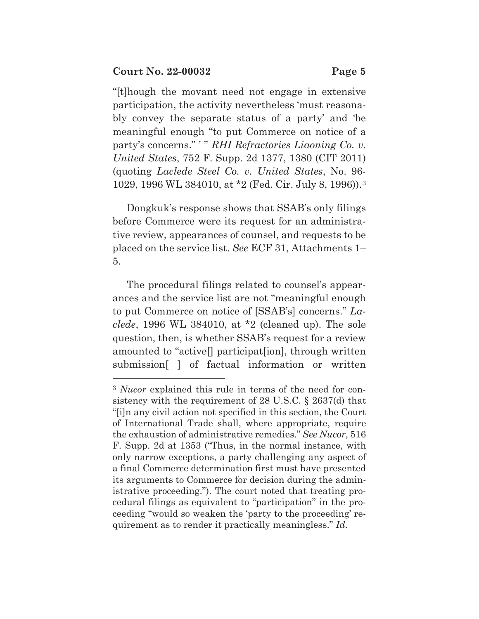"[t]hough the movant need not engage in extensive participation, the activity nevertheless 'must reasonably convey the separate status of a party' and 'be meaningful enough "to put Commerce on notice of a party's concerns." ' " *RHI Refractories Liaoning Co. v. United States*, 752 F. Supp. 2d 1377, 1380 (CIT 2011) (quoting *Laclede Steel Co. v. United States*, No. 96- 1029, 1996 WL 384010, at \*2 (Fed. Cir. July 8, 1996)).3

Dongkuk's response shows that SSAB's only filings before Commerce were its request for an administrative review, appearances of counsel, and requests to be placed on the service list. *See* ECF 31, Attachments 1– 5.

The procedural filings related to counsel's appearances and the service list are not "meaningful enough to put Commerce on notice of [SSAB's] concerns." *Laclede*, 1996 WL 384010, at \*2 (cleaned up). The sole question, then, is whether SSAB's request for a review amounted to "active[] participat[ion], through written submission[ ] of factual information or written

<sup>3</sup> *Nucor* explained this rule in terms of the need for consistency with the requirement of 28 U.S.C. § 2637(d) that "[i]n any civil action not specified in this section, the Court of International Trade shall, where appropriate, require the exhaustion of administrative remedies." *See Nucor*, 516 F. Supp. 2d at 1353 ("Thus, in the normal instance, with only narrow exceptions, a party challenging any aspect of a final Commerce determination first must have presented its arguments to Commerce for decision during the administrative proceeding."). The court noted that treating procedural filings as equivalent to "participation" in the proceeding "would so weaken the 'party to the proceeding' requirement as to render it practically meaningless." *Id.*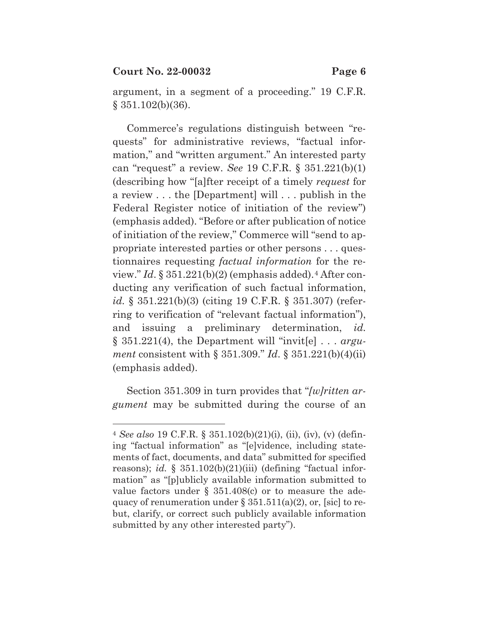argument, in a segment of a proceeding." 19 C.F.R. § 351.102(b)(36).

Commerce's regulations distinguish between "requests" for administrative reviews, "factual information," and "written argument." An interested party can "request" a review. *See* 19 C.F.R. § 351.221(b)(1) (describing how "[a]fter receipt of a timely *request* for a review . . . the [Department] will . . . publish in the Federal Register notice of initiation of the review") (emphasis added). "Before or after publication of notice of initiation of the review," Commerce will "send to appropriate interested parties or other persons . . . questionnaires requesting *factual information* for the review."  $Id. \S 351.221(b)(2)$  (emphasis added).<sup>4</sup> After conducting any verification of such factual information, *id.* § 351.221(b)(3) (citing 19 C.F.R. § 351.307) (referring to verification of "relevant factual information"), and issuing a preliminary determination, *id.* § 351.221(4), the Department will "invit[e] . . . *argument* consistent with § 351.309." *Id*. § 351.221(b)(4)(ii) (emphasis added).

Section 351.309 in turn provides that "*[w]ritten argument* may be submitted during the course of an

<sup>4</sup> *See also* 19 C.F.R. § 351.102(b)(21)(i), (ii), (iv), (v) (defining "factual information" as "[e]vidence, including statements of fact, documents, and data" submitted for specified reasons); *id.* § 351.102(b)(21)(iii) (defining "factual information" as "[p]ublicly available information submitted to value factors under  $\S$  351.408(c) or to measure the adequacy of renumeration under  $\S 351.511(a)(2)$ , or, [sic] to rebut, clarify, or correct such publicly available information submitted by any other interested party").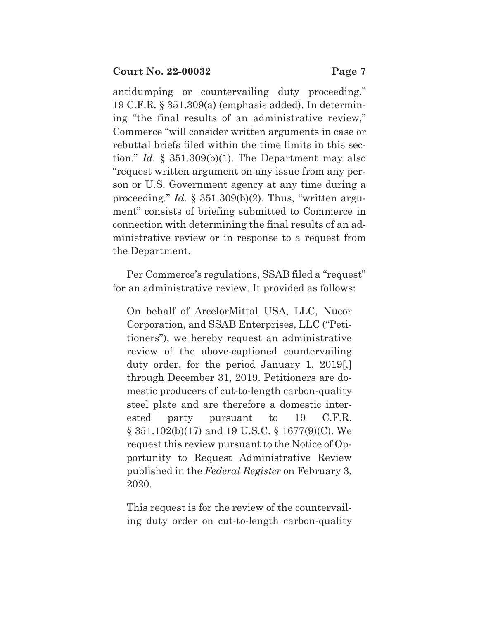antidumping or countervailing duty proceeding." 19 C.F.R. § 351.309(a) (emphasis added). In determining "the final results of an administrative review," Commerce "will consider written arguments in case or rebuttal briefs filed within the time limits in this section." *Id.* § 351.309(b)(1). The Department may also "request written argument on any issue from any person or U.S. Government agency at any time during a proceeding." *Id.* § 351.309(b)(2). Thus, "written argument" consists of briefing submitted to Commerce in connection with determining the final results of an administrative review or in response to a request from the Department.

Per Commerce's regulations, SSAB filed a "request" for an administrative review. It provided as follows:

On behalf of ArcelorMittal USA, LLC, Nucor Corporation, and SSAB Enterprises, LLC ("Petitioners"), we hereby request an administrative review of the above-captioned countervailing duty order, for the period January 1, 2019[,] through December 31, 2019. Petitioners are domestic producers of cut-to-length carbon-quality steel plate and are therefore a domestic interested party pursuant to 19 C.F.R. § 351.102(b)(17) and 19 U.S.C. § 1677(9)(C). We request this review pursuant to the Notice of Opportunity to Request Administrative Review published in the *Federal Register* on February 3, 2020.

This request is for the review of the countervailing duty order on cut-to-length carbon-quality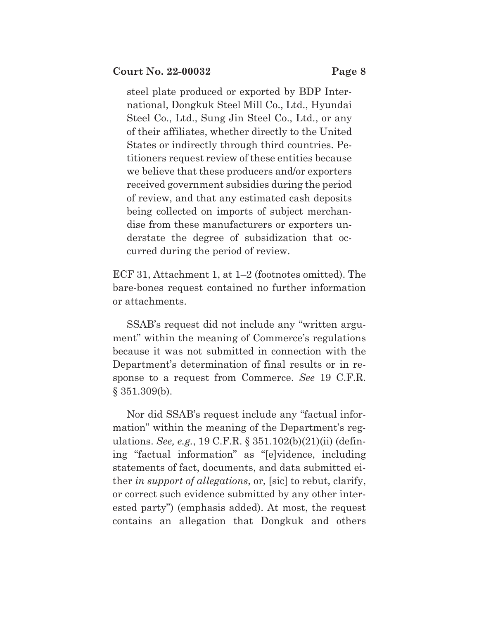steel plate produced or exported by BDP International, Dongkuk Steel Mill Co., Ltd., Hyundai Steel Co., Ltd., Sung Jin Steel Co., Ltd., or any of their affiliates, whether directly to the United States or indirectly through third countries. Petitioners request review of these entities because we believe that these producers and/or exporters received government subsidies during the period of review, and that any estimated cash deposits being collected on imports of subject merchandise from these manufacturers or exporters understate the degree of subsidization that occurred during the period of review.

ECF 31, Attachment 1, at 1–2 (footnotes omitted). The bare-bones request contained no further information or attachments.

SSAB's request did not include any "written argument" within the meaning of Commerce's regulations because it was not submitted in connection with the Department's determination of final results or in response to a request from Commerce. *See* 19 C.F.R. § 351.309(b).

Nor did SSAB's request include any "factual information" within the meaning of the Department's regulations. *See, e.g.*, 19 C.F.R. § 351.102(b)(21)(ii) (defining "factual information" as "[e]vidence, including statements of fact, documents, and data submitted either *in support of allegations*, or, [sic] to rebut, clarify, or correct such evidence submitted by any other interested party") (emphasis added). At most, the request contains an allegation that Dongkuk and others